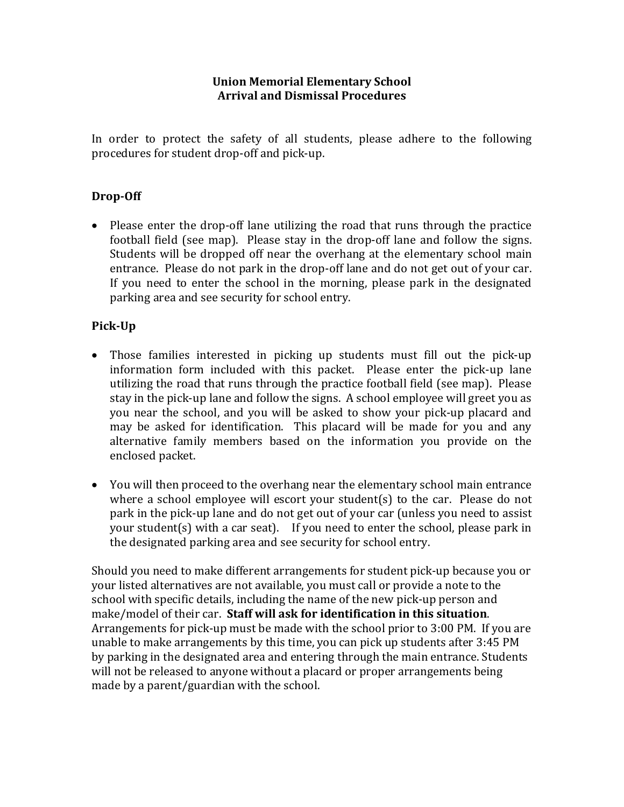#### **Union Memorial Elementary School Arrival and Dismissal Procedures**

In order to protect the safety of all students, please adhere to the following procedures for student drop-off and pick-up.

#### **Drop-Off**

• Please enter the drop-off lane utilizing the road that runs through the practice football field (see map). Please stay in the drop-off lane and follow the signs. Students will be dropped off near the overhang at the elementary school main entrance. Please do not park in the drop-off lane and do not get out of your car. If you need to enter the school in the morning, please park in the designated parking area and see security for school entry.

#### **Pick-Up**

- Those families interested in picking up students must fill out the pick-up information form included with this packet. Please enter the pick-up lane utilizing the road that runs through the practice football field (see map). Please stay in the pick-up lane and follow the signs. A school employee will greet you as you near the school, and you will be asked to show your pick-up placard and may be asked for identification. This placard will be made for you and any alternative family members based on the information you provide on the enclosed packet.
- You will then proceed to the overhang near the elementary school main entrance where a school employee will escort your student(s) to the car. Please do not park in the pick-up lane and do not get out of your car (unless you need to assist your student(s) with a car seat). If you need to enter the school, please park in the designated parking area and see security for school entry.

Should you need to make different arrangements for student pick-up because you or your listed alternatives are not available, you must call or provide a note to the school with specific details, including the name of the new pick-up person and make/model of their car. Staff will ask for identification in this situation. Arrangements for pick-up must be made with the school prior to 3:00 PM. If you are unable to make arrangements by this time, you can pick up students after 3:45 PM by parking in the designated area and entering through the main entrance. Students will not be released to anyone without a placard or proper arrangements being made by a parent/guardian with the school.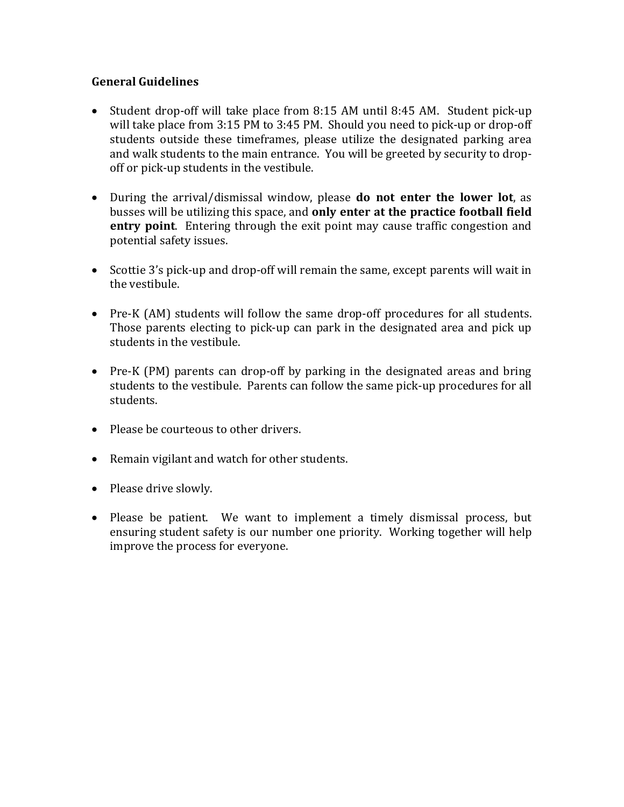#### **General Guidelines**

- Student drop-off will take place from 8:15 AM until 8:45 AM. Student pick-up will take place from  $3:15$  PM to  $3:45$  PM. Should you need to pick-up or drop-off students outside these timeframes, please utilize the designated parking area and walk students to the main entrance. You will be greeted by security to dropoff or pick-up students in the vestibule.
- During the arrival/dismissal window, please **do not enter the lower lot**, as busses will be utilizing this space, and only enter at the practice football field **entry point**. Entering through the exit point may cause traffic congestion and potential safety issues.
- Scottie 3's pick-up and drop-off will remain the same, except parents will wait in the vestibule.
- Pre-K (AM) students will follow the same drop-off procedures for all students. Those parents electing to pick-up can park in the designated area and pick up students in the vestibule.
- Pre-K (PM) parents can drop-off by parking in the designated areas and bring students to the vestibule. Parents can follow the same pick-up procedures for all students.
- Please be courteous to other drivers.
- Remain vigilant and watch for other students.
- Please drive slowly.
- Please be patient. We want to implement a timely dismissal process, but ensuring student safety is our number one priority. Working together will help improve the process for everyone.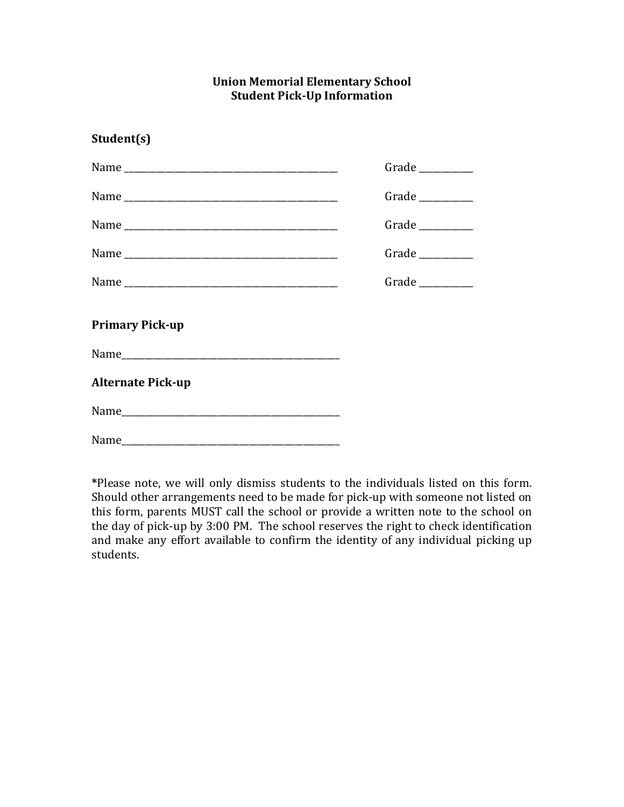#### **Union Memorial Elementary School Student Pick-Up Information**

|                          | Grade        |
|--------------------------|--------------|
|                          | Grade $\_\_$ |
|                          | Grade        |
|                          | Grade        |
|                          | Grade $\_\_$ |
| <b>Primary Pick-up</b>   |              |
|                          |              |
| <b>Alternate Pick-up</b> |              |
|                          |              |
|                          |              |

**Student(s)**

\*Please note, we will only dismiss students to the individuals listed on this form. Should other arrangements need to be made for pick-up with someone not listed on this form, parents MUST call the school or provide a written note to the school on the day of pick-up by 3:00 PM. The school reserves the right to check identification and make any effort available to confirm the identity of any individual picking up students.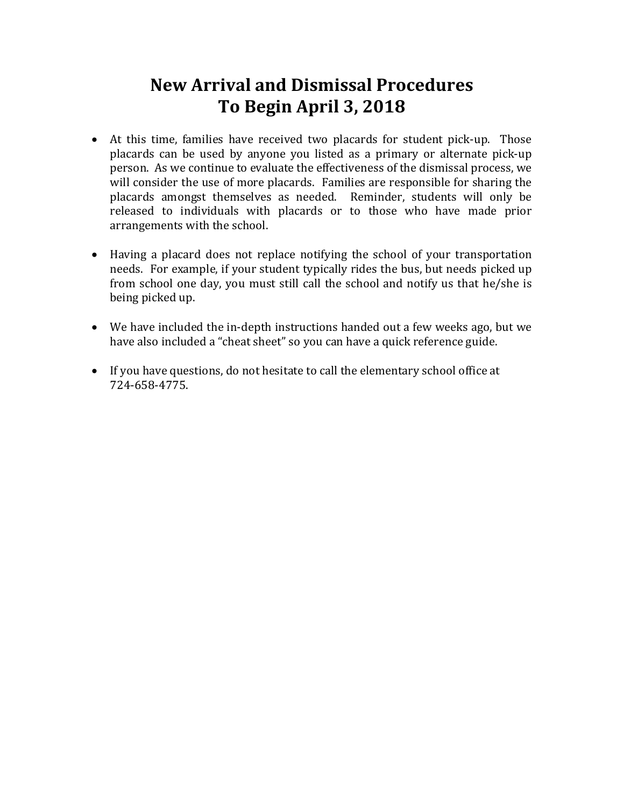# **New Arrival and Dismissal Procedures To Begin April 3, 2018**

- At this time, families have received two placards for student pick-up. Those placards can be used by anyone you listed as a primary or alternate pick-up person. As we continue to evaluate the effectiveness of the dismissal process, we will consider the use of more placards. Families are responsible for sharing the placards amongst themselves as needed. Reminder, students will only be released to individuals with placards or to those who have made prior arrangements with the school.
- Having a placard does not replace notifying the school of your transportation needs. For example, if your student typically rides the bus, but needs picked up from school one day, you must still call the school and notify us that he/she is being picked up.
- We have included the in-depth instructions handed out a few weeks ago, but we have also included a "cheat sheet" so you can have a quick reference guide.
- If you have questions, do not hesitate to call the elementary school office at 724-658-4775.